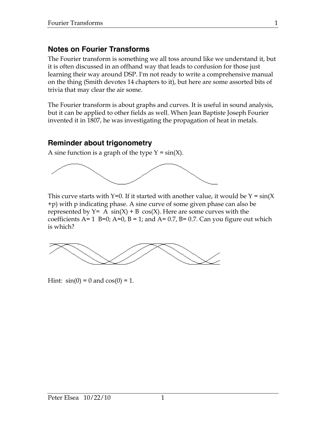# **Notes on Fourier Transforms**

The Fourier transform is something we all toss around like we understand it, but it is often discussed in an offhand way that leads to confusion for those just learning their way around DSP. I'm not ready to write a comprehensive manual on the thing (Smith devotes 14 chapters to it), but here are some assorted bits of trivia that may clear the air some.

The Fourier transform is about graphs and curves. It is useful in sound analysis, but it can be applied to other fields as well. When Jean Baptiste Joseph Fourier invented it in 1807, he was investigating the propagation of heat in metals.

# **Reminder about trigonometry**

A sine function is a graph of the type  $Y = sin(X)$ .



This curve starts with Y=0. If it started with another value, it would be  $Y = sin(X)$ +p) with p indicating phase. A sine curve of some given phase can also be represented by  $Y= A \sin(X) + B \cos(X)$ . Here are some curves with the coefficients A= 1 B=0; A=0, B = 1; and A= 0.7, B= 0.7. Can you figure out which is which?



Hint:  $sin(0) = 0$  and  $cos(0) = 1$ .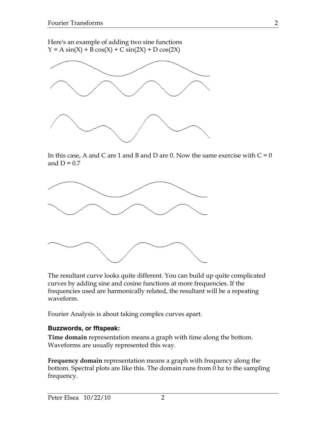Here's an example of adding two sine functions  $Y = A \sin(X) + B \cos(X) + C \sin(2X) + D \cos(2X)$ 



In this case, A and C are 1 and B and D are 0. Now the same exercise with  $C = 0$ and  $D = 0.7$ 



The resultant curve looks quite different. You can build up quite complicated curves by adding sine and cosine functions at more frequencies. If the frequencies used are harmonically related, the resultant will be a repeating waveform.

Fourier Analysis is about taking complex curves apart.

#### **Buzzwords, or fftspeak:**

**Time domain** representation means a graph with time along the bottom. Waveforms are usually represented this way.

**Frequency domain** representation means a graph with frequency along the bottom. Spectral plots are like this. The domain runs from 0 hz to the sampling frequency.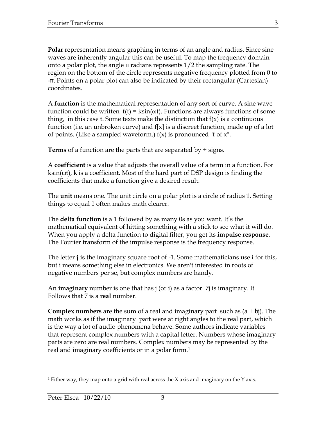**Polar** representation means graphing in terms of an angle and radius. Since sine waves are inherently angular this can be useful. To map the frequency domain onto a polar plot, the angle π radians represents 1/2 the sampling rate. The region on the bottom of the circle represents negative frequency plotted from 0 to -π. Points on a polar plot can also be indicated by their rectangular (Cartesian) coordinates.

A **function** is the mathematical representation of any sort of curve. A sine wave function could be written  $f(t) = k\sin(\omega t)$ . Functions are always functions of some thing, in this case t. Some texts make the distinction that  $f(x)$  is a continuous function (i.e. an unbroken curve) and  $f[x]$  is a discreet function, made up of a lot of points. (Like a sampled waveform.)  $f(x)$  is pronounced "f of x".

**Terms** of a function are the parts that are separated by + signs.

A **coefficient** is a value that adjusts the overall value of a term in a function. For ksin(ωt), k is a coefficient. Most of the hard part of DSP design is finding the coefficients that make a function give a desired result.

The **unit** means one. The unit circle on a polar plot is a circle of radius 1. Setting things to equal 1 often makes math clearer.

The **delta function** is a 1 followed by as many 0s as you want. It's the mathematical equivalent of hitting something with a stick to see what it will do. When you apply a delta function to digital filter, you get its **impulse response**. The Fourier transform of the impulse response is the frequency response.

The letter **j** is the imaginary square root of -1. Some mathematicians use i for this, but i means something else in electronics. We aren't interested in roots of negative numbers per se, but complex numbers are handy.

An **imaginary** number is one that has j (or i) as a factor. 7j is imaginary. It Follows that 7 is a **real** number.

**Complex numbers** are the sum of a real and imaginary part such as (a + bj). The math works as if the imaginary part were at right angles to the real part, which is the way a lot of audio phenomena behave. Some authors indicate variables that represent complex numbers with a capital letter. Numbers whose imaginary parts are zero are real numbers. Complex numbers may be represented by the real and imaginary coefficients or in a polar form.<sup>1</sup>

<sup>&</sup>lt;sup>1</sup> Either way, they map onto a grid with real across the X axis and imaginary on the Y axis.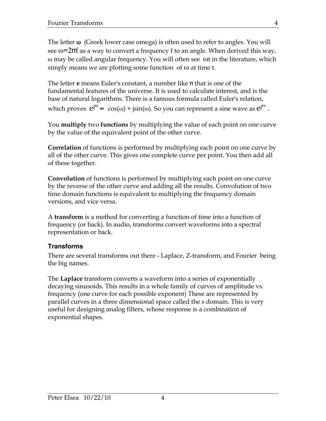The letter  $\omega$  (Greek lower case omega) is often used to refer to angles. You will see ω=2πf as a way to convert a frequency f to an angle. When derived this way, ω may be called angular frequency. You will often see ωt in the literature, which simply means we are plotting some function of  $\omega$  at time t.

The letter **e** means Euler's constant, a number like π that is one of the fundamental features of the universe. It is used to calculate interest, and is the base of natural logarithms. There is a famous formula called Euler's relation, which proves  $e^{j\omega} = \cos(\omega) + j\sin(\omega)$ . So you can represent a sine wave as  $e^{j\omega}$  .

You **multiply** two **functions** by multiplying the value of each point on one curve by the value of the equivalent point of the other curve.

**Correlation** of functions is performed by multiplying each point on one curve by all of the other curve. This gives one complete curve per point. You then add all of these together.

**Convolution** of functions is performed by multiplying each point on one curve by the reverse of the other curve and adding all the results. Convolution of two time domain functions is equivalent to multiplying the frequency domain versions, and vice versa.

A **transform** is a method for converting a function of time into a function of frequency (or back). In audio, transforms convert waveforms into a spectral representation or back.

#### **Transforms**

There are several transforms out there - Laplace, Z-transform, and Fourier being the big names.

The **Laplace** transform converts a waveform into a series of exponentially decaying sinusoids. This results in a whole family of curves of amplitude vs. frequency (one curve for each possible exponent) These are represented by parallel curves in a three dimensional space called the s domain. This is very useful for designing analog filters, whose response is a combination of exponential shapes.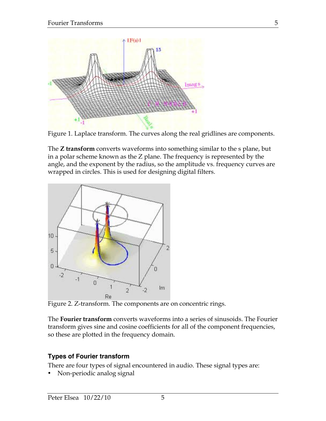



The **Z transform** converts waveforms into something similar to the s plane, but in a polar scheme known as the Z plane. The frequency is represented by the angle, and the exponent by the radius, so the amplitude vs. frequency curves are wrapped in circles. This is used for designing digital filters.



Figure 2. Z-transform. The components are on concentric rings.

The **Fourier transform** converts waveforms into a series of sinusoids. The Fourier transform gives sine and cosine coefficients for all of the component frequencies, so these are plotted in the frequency domain.

#### **Types of Fourier transform**

There are four types of signal encountered in audio. These signal types are:

• Non-periodic analog signal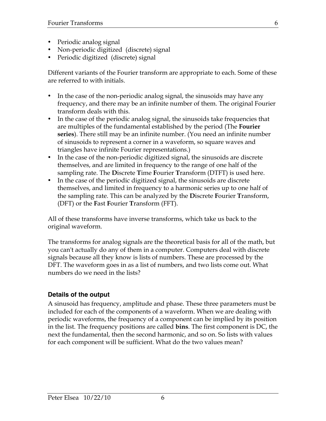- Periodic analog signal
- Non-periodic digitized (discrete) signal
- Periodic digitized (discrete) signal

Different variants of the Fourier transform are appropriate to each. Some of these are referred to with initials.

- In the case of the non-periodic analog signal, the sinusoids may have any frequency, and there may be an infinite number of them. The original Fourier transform deals with this.
- In the case of the periodic analog signal, the sinusoids take frequencies that are multiples of the fundamental established by the period (The **Fourier series**). There still may be an infinite number. (You need an infinite number of sinusoids to represent a corner in a waveform, so square waves and triangles have infinite Fourier representations.)
- In the case of the non-periodic digitized signal, the sinusoids are discrete themselves, and are limited in frequency to the range of one half of the sampling rate. The **D**iscrete **T**ime **F**ourier **T**ransform (DTFT) is used here.
- In the case of the periodic digitized signal, the sinusoids are discrete themselves, and limited in frequency to a harmonic series up to one half of the sampling rate. This can be analyzed by the **D**iscrete **F**ourier **T**ransform, (DFT) or the **F**ast **F**ourier **T**ransform (FFT).

All of these transforms have inverse transforms, which take us back to the original waveform.

The transforms for analog signals are the theoretical basis for all of the math, but you can't actually do any of them in a computer. Computers deal with discrete signals because all they know is lists of numbers. These are processed by the DFT. The waveform goes in as a list of numbers, and two lists come out. What numbers do we need in the lists?

## **Details of the output**

A sinusoid has frequency, amplitude and phase. These three parameters must be included for each of the components of a waveform. When we are dealing with periodic waveforms, the frequency of a component can be implied by its position in the list. The frequency positions are called **bins**. The first component is DC, the next the fundamental, then the second harmonic, and so on. So lists with values for each component will be sufficient. What do the two values mean?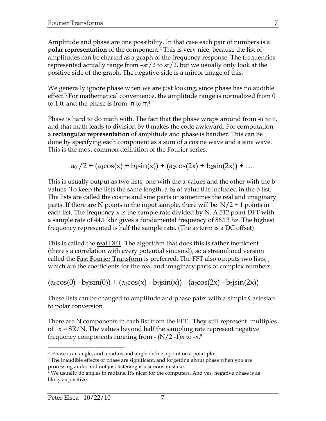Amplitude and phase are one possibility. In that case each pair of numbers is a **polar representation** of the component.2 This is very nice, because the list of amplitudes can be charted as a graph of the frequency response. The frequencies represented actually range from –sr/2 to sr/2, but we usually only look at the positive side of the graph. The negative side is a mirror image of this.

We generally ignore phase when we are just looking, since phase has no audible effect.<sup>3</sup> For mathematical convenience, the amplitude range is normalized from  $0$ to 1.0, and the phase is from -π to  $π$ . $4$ 

Phase is hard to do math with. The fact that the phase wraps around from  $\text{-} \pi$  to  $\pi$ , and that math leads to division by 0 makes the code awkward. For computation, a **rectangular representation** of amplitude and phase is handier. This can be done by specifying each component as a sum of a cosine wave and a sine wave. This is the most common definition of the Fourier series:

 $a_0$  /2 + ( $a_1cos(x)$  +  $b_1sin(x)$ ) + ( $a_2cos(2x)$  +  $b_2sin(2x)$ ) + ...

This is usually output as two lists, one with the a values and the other with the b values. To keep the lists the same length, a  $b_0$  of value 0 is included in the b list. The lists are called the cosine and sine parts or sometimes the real and imaginary parts. If there are N points in the input sample, there will be  $N/2 + 1$  points in each list. The frequency x is the sample rate divided by N. A 512 point DFT with a sample rate of 44.1 khz gives a fundamental frequency of 86.13 hz. The highest frequency represented is half the sample rate. (The  $a_0$  term is a DC offset)

This is called the real DFT. The algorithm that does this is rather inefficient (there's a correlation with every potential sinusoid), so a streamlined version called the **F**ast **F**ourier **T**ransform is preferred. The FFT also outputs two lists, , which are the coefficients for the real and imaginary parts of complex numbers.

 $(a_0\cos(0) - b_0\sin(0)) + (a_1\cos(x) - b_1\sin(x)) + (a_2\cos(2x) - b_2\sin(2x))$ 

These lists can be changed to amplitude and phase pairs with a simple Cartesian to polar conversion.

There are N components in each list from the FFT . They still represent multiples of  $x = SR/N$ . The values beyond half the sampling rate represent negative frequency components running from  $\cdot$  (N/2 -1)x to -x.<sup>5</sup>

 <sup>2</sup> Phase is an angle, and a radius and angle define a point on a polar plot.

 $3$  The inaudible effects of phase are significant, and forgetting about phase when you are processing audio and not just listening is a serious mistake.

<sup>4</sup> We usually do angles in radians. It's nicer for the computers. And yes, negative phase is as likely as positive.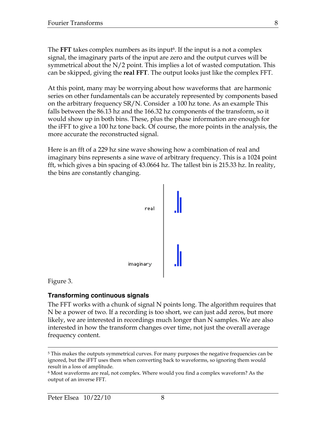The **FFT** takes complex numbers as its input<sup>6</sup>. If the input is a not a complex signal, the imaginary parts of the input are zero and the output curves will be symmetrical about the N/2 point. This implies a lot of wasted computation. This can be skipped, giving the **real FFT**. The output looks just like the complex FFT.

At this point, many may be worrying about how waveforms that are harmonic series on other fundamentals can be accurately represented by components based on the arbitrary frequency SR/N. Consider a 100 hz tone. As an example This falls between the 86.13 hz and the 166.32 hz components of the transform, so it would show up in both bins. These, plus the phase information are enough for the iFFT to give a 100 hz tone back. Of course, the more points in the analysis, the more accurate the reconstructed signal.

Here is an fft of a 229 hz sine wave showing how a combination of real and imaginary bins represents a sine wave of arbitrary frequency. This is a 1024 point fft, which gives a bin spacing of 43.0664 hz. The tallest bin is 215.33 hz. In reality, the bins are constantly changing.



Figure 3.

#### **Transforming continuous signals**

The FFT works with a chunk of signal N points long. The algorithm requires that N be a power of two. If a recording is too short, we can just add zeros, but more likely, we are interested in recordings much longer than N samples. We are also interested in how the transform changes over time, not just the overall average frequency content.

<sup>&</sup>lt;sup>5</sup> This makes the outputs symmetrical curves. For many purposes the negative frequencies can be ignored, but the iFFT uses them when converting back to waveforms, so ignoring them would result in a loss of amplitude.

 $^6$  Most waveforms are real, not complex. Where would you find a complex waveform? As the output of an inverse FFT.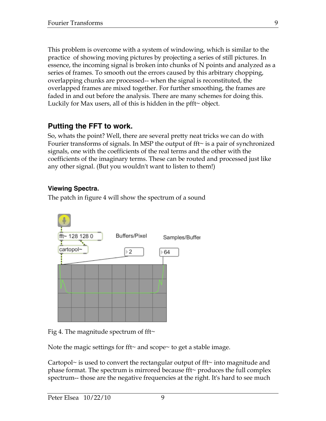This problem is overcome with a system of windowing, which is similar to the practice of showing moving pictures by projecting a series of still pictures. In essence, the incoming signal is broken into chunks of N points and analyzed as a series of frames. To smooth out the errors caused by this arbitrary chopping, overlapping chunks are processed-- when the signal is reconstituted, the overlapped frames are mixed together. For further smoothing, the frames are faded in and out before the analysis. There are many schemes for doing this. Luckily for Max users, all of this is hidden in the pfft~ object.

# **Putting the FFT to work.**

So, whats the point? Well, there are several pretty neat tricks we can do with Fourier transforms of signals. In MSP the output of fft~ is a pair of synchronized signals, one with the coefficients of the real terms and the other with the coefficients of the imaginary terms. These can be routed and processed just like any other signal. (But you wouldn't want to listen to them!)

## **Viewing Spectra.**

The patch in figure 4 will show the spectrum of a sound



Fig 4. The magnitude spectrum of fft $\sim$ 

Note the magic settings for fft~ and scope~ to get a stable image.

Cartopol~ is used to convert the rectangular output of fft~ into magnitude and phase format. The spectrum is mirrored because fft $\sim$  produces the full complex spectrum-- those are the negative frequencies at the right. It's hard to see much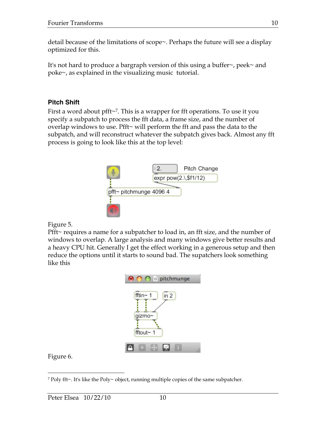detail because of the limitations of scope~. Perhaps the future will see a display optimized for this.

It's not hard to produce a bargraph version of this using a buffer~, peek~ and poke~, as explained in the visualizing music tutorial.

#### **Pitch Shift**

First a word about pfft~7. This is a wrapper for fft operations. To use it you specify a subpatch to process the fft data, a frame size, and the number of overlap windows to use. Pfft~ will perform the fft and pass the data to the subpatch, and will reconstruct whatever the subpatch gives back. Almost any fft process is going to look like this at the top level:



Figure 5.

Pfft~ requires a name for a subpatcher to load in, an fft size, and the number of windows to overlap. A large analysis and many windows give better results and a heavy CPU hit. Generally I get the effect working in a generous setup and then reduce the options until it starts to sound bad. The supatchers look something like this



Figure 6.

 <sup>7</sup> Poly fft~. It's like the Poly~ object, running multiple copies of the same subpatcher.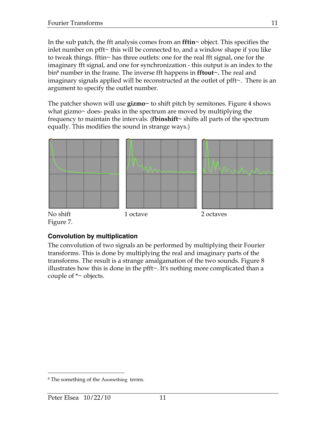In the sub patch, the fft analysis comes from an **fftin~** object. This specifies the inlet number on pfft~ this will be connected to, and a window shape if you like to tweak things. fftin~ has three outlets: one for the real fft signal, one for the imaginary fft signal, and one for synchronization - this output is an index to the bin8 number in the frame. The inverse fft happens in **fftout~.** The real and imaginary signals applied will be reconstructed at the outlet of pfft~. There is an argument to specify the outlet number.

The patcher shown will use **gizmo~** to shift pitch by semitones. Figure 4 shows what gizmo $\sim$  does- peaks in the spectrum are moved by multiplying the frequency to maintain the intervals. (**fbinshift~** shifts all parts of the spectrum equally. This modifies the sound in strange ways.)



Figure 7.

## **Convolution by multiplication**

The convolution of two signals an be performed by multiplying their Fourier transforms. This is done by multiplying the real and imaginary parts of the transforms. The result is a strange amalgamation of the two sounds. Figure 8 illustrates how this is done in the pfft~. It's nothing more complicated than a couple of  $*$  objects.

 <sup>8</sup> The something of the Asomething terms.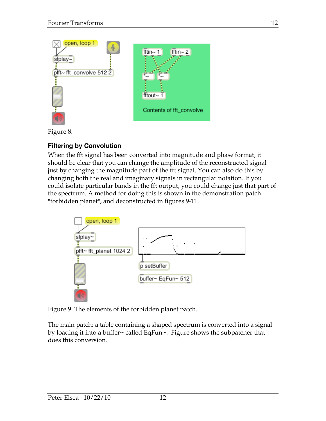

Figure 8.

# **Filtering by Convolution**

When the fft signal has been converted into magnitude and phase format, it should be clear that you can change the amplitude of the reconstructed signal just by changing the magnitude part of the fft signal. You can also do this by changing both the real and imaginary signals in rectangular notation. If you could isolate particular bands in the fft output, you could change just that part of the spectrum. A method for doing this is shown in the demonstration patch "forbidden planet", and deconstructed in figures 9-11.



Figure 9. The elements of the forbidden planet patch.

The main patch: a table containing a shaped spectrum is converted into a signal by loading it into a buffer~ called EqFun~. Figure shows the subpatcher that does this conversion.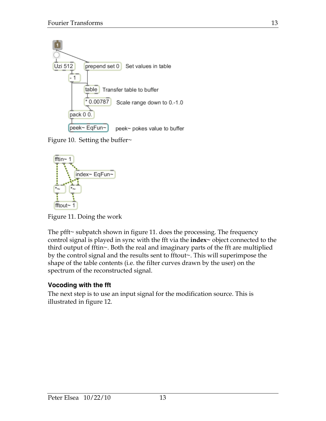

Figure 10. Setting the buffer $\sim$ 



Figure 11. Doing the work

The pfft~ subpatch shown in figure 11. does the processing. The frequency control signal is played in sync with the fft via the **index~** object connected to the third output of fftin~. Both the real and imaginary parts of the fft are multiplied by the control signal and the results sent to fftout~. This will superimpose the shape of the table contents (i.e. the filter curves drawn by the user) on the spectrum of the reconstructed signal.

## **Vocoding with the fft**

The next step is to use an input signal for the modification source. This is illustrated in figure 12.